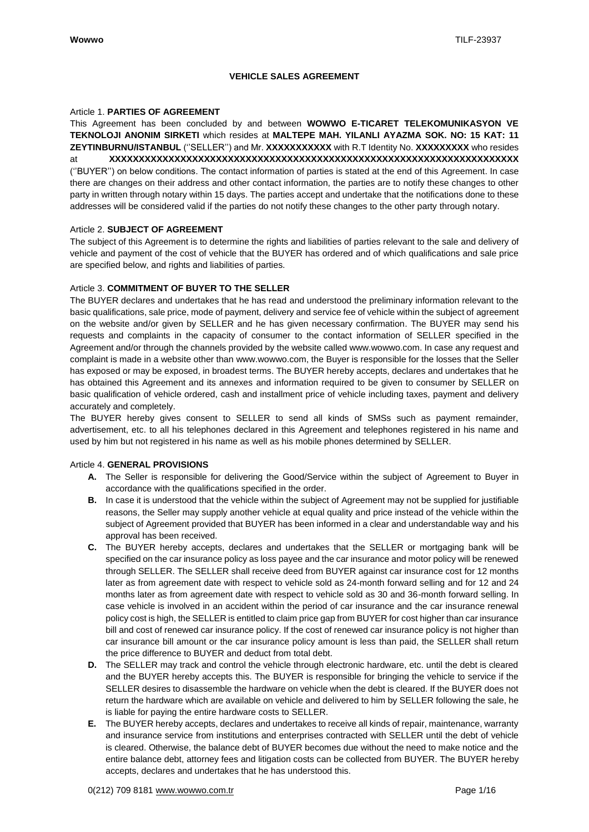## **VEHICLE SALES AGREEMENT**

#### Article 1. **PARTIES OF AGREEMENT**

This Agreement has been concluded by and between **WOWWO E-TICARET TELEKOMUNIKASYON VE TEKNOLOJI ANONIM SIRKETI** which resides at **MALTEPE MAH. YILANLI AYAZMA SOK. NO: 15 KAT: 11 ZEYTINBURNU/ISTANBUL** (''SELLER'') and Mr. **XXXXXXXXXXX** with R.T Identity No. **XXXXXXXXX** who resides at **XXXXXXXXXXXXXXXXXXXXXXXXXXXXXXXXXXXXXXXXXXXXXXXXXXXXXXXXXXXXXXXXXXXXX** (''BUYER'') on below conditions. The contact information of parties is stated at the end of this Agreement. In case there are changes on their address and other contact information, the parties are to notify these changes to other party in written through notary within 15 days. The parties accept and undertake that the notifications done to these addresses will be considered valid if the parties do not notify these changes to the other party through notary.

#### Article 2. **SUBJECT OF AGREEMENT**

The subject of this Agreement is to determine the rights and liabilities of parties relevant to the sale and delivery of vehicle and payment of the cost of vehicle that the BUYER has ordered and of which qualifications and sale price are specified below, and rights and liabilities of parties.

## Article 3. **COMMITMENT OF BUYER TO THE SELLER**

The BUYER declares and undertakes that he has read and understood the preliminary information relevant to the basic qualifications, sale price, mode of payment, delivery and service fee of vehicle within the subject of agreement on the website and/or given by SELLER and he has given necessary confirmation. The BUYER may send his requests and complaints in the capacity of consumer to the contact information of SELLER specified in the Agreement and/or through the channels provided by the website calle[d www.wowwo.com.](http://www.wowwo.com/) In case any request and complaint is made in a website other tha[n www.wowwo.com,](http://www.wowwo.com/) the Buyer is responsible for the losses that the Seller has exposed or may be exposed, in broadest terms. The BUYER hereby accepts, declares and undertakes that he has obtained this Agreement and its annexes and information required to be given to consumer by SELLER on basic qualification of vehicle ordered, cash and installment price of vehicle including taxes, payment and delivery accurately and completely.

The BUYER hereby gives consent to SELLER to send all kinds of SMSs such as payment remainder, advertisement, etc. to all his telephones declared in this Agreement and telephones registered in his name and used by him but not registered in his name as well as his mobile phones determined by SELLER.

## Article 4. **GENERAL PROVISIONS**

- **A.** The Seller is responsible for delivering the Good/Service within the subject of Agreement to Buyer in accordance with the qualifications specified in the order.
- **B.** In case it is understood that the vehicle within the subject of Agreement may not be supplied for justifiable reasons, the Seller may supply another vehicle at equal quality and price instead of the vehicle within the subject of Agreement provided that BUYER has been informed in a clear and understandable way and his approval has been received.
- **C.** The BUYER hereby accepts, declares and undertakes that the SELLER or mortgaging bank will be specified on the car insurance policy as loss payee and the car insurance and motor policy will be renewed through SELLER. The SELLER shall receive deed from BUYER against car insurance cost for 12 months later as from agreement date with respect to vehicle sold as 24-month forward selling and for 12 and 24 months later as from agreement date with respect to vehicle sold as 30 and 36-month forward selling. In case vehicle is involved in an accident within the period of car insurance and the car insurance renewal policy cost is high, the SELLER is entitled to claim price gap from BUYER for cost higher than car insurance bill and cost of renewed car insurance policy. If the cost of renewed car insurance policy is not higher than car insurance bill amount or the car insurance policy amount is less than paid, the SELLER shall return the price difference to BUYER and deduct from total debt.
- **D.** The SELLER may track and control the vehicle through electronic hardware, etc. until the debt is cleared and the BUYER hereby accepts this. The BUYER is responsible for bringing the vehicle to service if the SELLER desires to disassemble the hardware on vehicle when the debt is cleared. If the BUYER does not return the hardware which are available on vehicle and delivered to him by SELLER following the sale, he is liable for paying the entire hardware costs to SELLER.
- **E.** The BUYER hereby accepts, declares and undertakes to receive all kinds of repair, maintenance, warranty and insurance service from institutions and enterprises contracted with SELLER until the debt of vehicle is cleared. Otherwise, the balance debt of BUYER becomes due without the need to make notice and the entire balance debt, attorney fees and litigation costs can be collected from BUYER. The BUYER hereby accepts, declares and undertakes that he has understood this.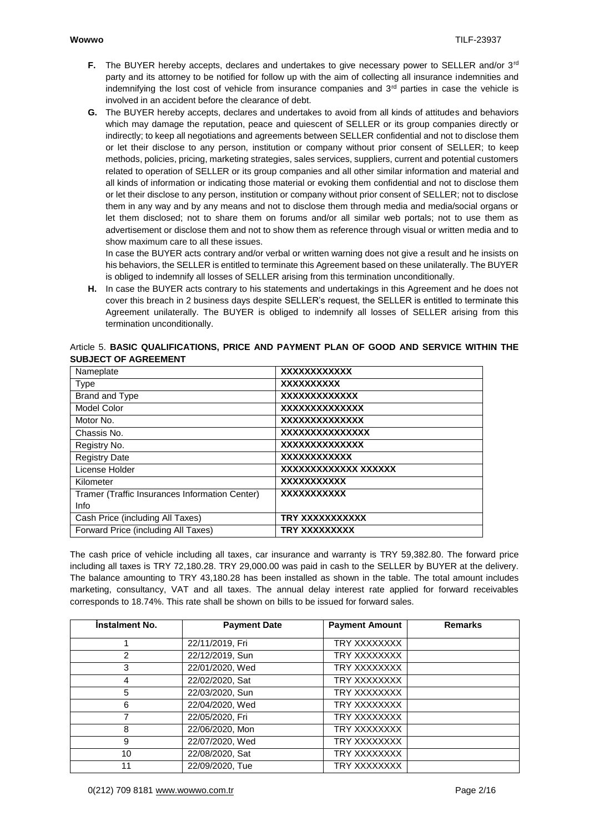- **F.** The BUYER hereby accepts, declares and undertakes to give necessary power to SELLER and/or 3<sup>rd</sup> party and its attorney to be notified for follow up with the aim of collecting all insurance indemnities and indemnifying the lost cost of vehicle from insurance companies and  $3<sup>rd</sup>$  parties in case the vehicle is involved in an accident before the clearance of debt.
- **G.** The BUYER hereby accepts, declares and undertakes to avoid from all kinds of attitudes and behaviors which may damage the reputation, peace and quiescent of SELLER or its group companies directly or indirectly; to keep all negotiations and agreements between SELLER confidential and not to disclose them or let their disclose to any person, institution or company without prior consent of SELLER; to keep methods, policies, pricing, marketing strategies, sales services, suppliers, current and potential customers related to operation of SELLER or its group companies and all other similar information and material and all kinds of information or indicating those material or evoking them confidential and not to disclose them or let their disclose to any person, institution or company without prior consent of SELLER; not to disclose them in any way and by any means and not to disclose them through media and media/social organs or let them disclosed; not to share them on forums and/or all similar web portals; not to use them as advertisement or disclose them and not to show them as reference through visual or written media and to show maximum care to all these issues.

In case the BUYER acts contrary and/or verbal or written warning does not give a result and he insists on his behaviors, the SELLER is entitled to terminate this Agreement based on these unilaterally. The BUYER is obliged to indemnify all losses of SELLER arising from this termination unconditionally.

**H.** In case the BUYER acts contrary to his statements and undertakings in this Agreement and he does not cover this breach in 2 business days despite SELLER's request, the SELLER is entitled to terminate this Agreement unilaterally. The BUYER is obliged to indemnify all losses of SELLER arising from this termination unconditionally.

| <b>XXXXXXXXXXXX</b>  |
|----------------------|
| <b>XXXXXXXXXX</b>    |
| XXXXXXXXXXXX         |
| XXXXXXXXXXXXX        |
| XXXXXXXXXXXXX        |
| XXXXXXXXXXXXXX       |
| XXXXXXXXXXXXX        |
| XXXXXXXXXXX          |
| xxxxxxxxxxxxx xxxxxx |
| XXXXXXXXXX           |
| XXXXXXXXXXX          |
|                      |
| TRY XXXXXXXXXX       |
| TRY XXXXXXXXX        |
|                      |

## Article 5. **BASIC QUALIFICATIONS, PRICE AND PAYMENT PLAN OF GOOD AND SERVICE WITHIN THE SUBJECT OF AGREEMENT**

The cash price of vehicle including all taxes, car insurance and warranty is TRY 59,382.80. The forward price including all taxes is TRY 72,180.28. TRY 29,000.00 was paid in cash to the SELLER by BUYER at the delivery. The balance amounting to TRY 43,180.28 has been installed as shown in the table. The total amount includes marketing, consultancy, VAT and all taxes. The annual delay interest rate applied for forward receivables corresponds to 18.74%. This rate shall be shown on bills to be issued for forward sales.

| <b>Instalment No.</b> | <b>Payment Date</b> | <b>Payment Amount</b> | <b>Remarks</b> |
|-----------------------|---------------------|-----------------------|----------------|
|                       | 22/11/2019, Fri     | TRY XXXXXXXX          |                |
| 2                     | 22/12/2019, Sun     | TRY XXXXXXXX          |                |
| 3                     | 22/01/2020, Wed     | TRY XXXXXXXX          |                |
| 4                     | 22/02/2020, Sat     | TRY XXXXXXXX          |                |
| 5                     | 22/03/2020, Sun     | TRY XXXXXXXX          |                |
| 6                     | 22/04/2020, Wed     | TRY XXXXXXXX          |                |
|                       | 22/05/2020, Fri     | TRY XXXXXXXX          |                |
| 8                     | 22/06/2020, Mon     | TRY XXXXXXXX          |                |
| 9                     | 22/07/2020, Wed     | TRY XXXXXXXX          |                |
| 10                    | 22/08/2020, Sat     | TRY XXXXXXXX          |                |
| 11                    | 22/09/2020, Tue     | TRY XXXXXXXX          |                |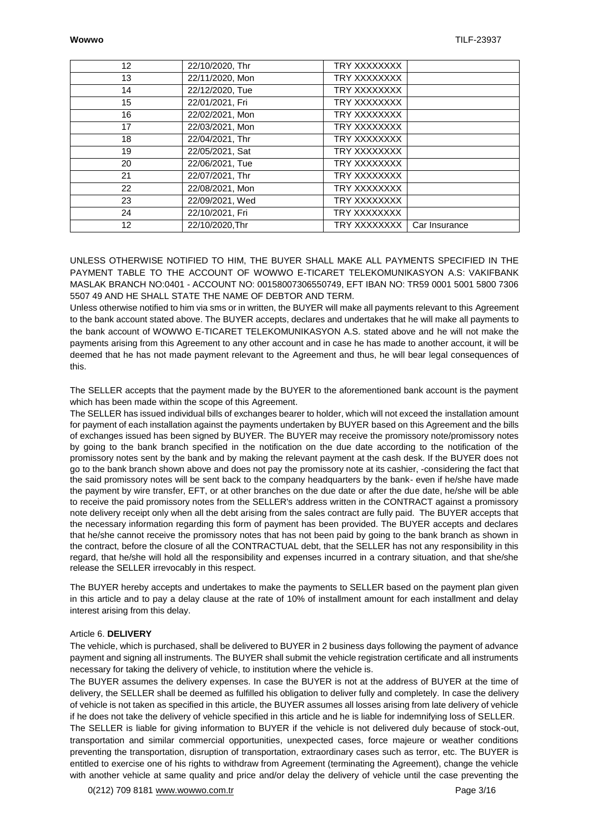| $12 \overline{ }$ | 22/10/2020, Thr | TRY XXXXXXXX |               |
|-------------------|-----------------|--------------|---------------|
| 13                | 22/11/2020, Mon | TRY XXXXXXXX |               |
| 14                | 22/12/2020, Tue | TRY XXXXXXXX |               |
| 15                | 22/01/2021, Fri | TRY XXXXXXXX |               |
| 16                | 22/02/2021, Mon | TRY XXXXXXXX |               |
| 17                | 22/03/2021, Mon | TRY XXXXXXXX |               |
| 18                | 22/04/2021. Thr | TRY XXXXXXXX |               |
| 19                | 22/05/2021, Sat | TRY XXXXXXXX |               |
| 20                | 22/06/2021, Tue | TRY XXXXXXXX |               |
| 21                | 22/07/2021, Thr | TRY XXXXXXXX |               |
| 22                | 22/08/2021, Mon | TRY XXXXXXXX |               |
| 23                | 22/09/2021, Wed | TRY XXXXXXXX |               |
| 24                | 22/10/2021, Fri | TRY XXXXXXXX |               |
| $12 \overline{ }$ | 22/10/2020.Thr  | TRY XXXXXXXX | Car Insurance |

UNLESS OTHERWISE NOTIFIED TO HIM, THE BUYER SHALL MAKE ALL PAYMENTS SPECIFIED IN THE PAYMENT TABLE TO THE ACCOUNT OF WOWWO E-TICARET TELEKOMUNIKASYON A.S: VAKIFBANK MASLAK BRANCH NO:0401 - ACCOUNT NO: 00158007306550749, EFT IBAN NO: TR59 0001 5001 5800 7306 5507 49 AND HE SHALL STATE THE NAME OF DEBTOR AND TERM.

Unless otherwise notified to him via sms or in written, the BUYER will make all payments relevant to this Agreement to the bank account stated above. The BUYER accepts, declares and undertakes that he will make all payments to the bank account of WOWWO E-TICARET TELEKOMUNIKASYON A.S. stated above and he will not make the payments arising from this Agreement to any other account and in case he has made to another account, it will be deemed that he has not made payment relevant to the Agreement and thus, he will bear legal consequences of this.

The SELLER accepts that the payment made by the BUYER to the aforementioned bank account is the payment which has been made within the scope of this Agreement.

The SELLER has issued individual bills of exchanges bearer to holder, which will not exceed the installation amount for payment of each installation against the payments undertaken by BUYER based on this Agreement and the bills of exchanges issued has been signed by BUYER. The BUYER may receive the promissory note/promissory notes by going to the bank branch specified in the notification on the due date according to the notification of the promissory notes sent by the bank and by making the relevant payment at the cash desk. If the BUYER does not go to the bank branch shown above and does not pay the promissory note at its cashier, -considering the fact that the said promissory notes will be sent back to the company headquarters by the bank- even if he/she have made the payment by wire transfer, EFT, or at other branches on the due date or after the due date, he/she will be able to receive the paid promissory notes from the SELLER's address written in the CONTRACT against a promissory note delivery receipt only when all the debt arising from the sales contract are fully paid. The BUYER accepts that the necessary information regarding this form of payment has been provided. The BUYER accepts and declares that he/she cannot receive the promissory notes that has not been paid by going to the bank branch as shown in the contract, before the closure of all the CONTRACTUAL debt, that the SELLER has not any responsibility in this regard, that he/she will hold all the responsibility and expenses incurred in a contrary situation, and that she/she release the SELLER irrevocably in this respect.

The BUYER hereby accepts and undertakes to make the payments to SELLER based on the payment plan given in this article and to pay a delay clause at the rate of 10% of installment amount for each installment and delay interest arising from this delay.

#### Article 6. **DELIVERY**

The vehicle, which is purchased, shall be delivered to BUYER in 2 business days following the payment of advance payment and signing all instruments. The BUYER shall submit the vehicle registration certificate and all instruments necessary for taking the delivery of vehicle, to institution where the vehicle is.

The BUYER assumes the delivery expenses. In case the BUYER is not at the address of BUYER at the time of delivery, the SELLER shall be deemed as fulfilled his obligation to deliver fully and completely. In case the delivery of vehicle is not taken as specified in this article, the BUYER assumes all losses arising from late delivery of vehicle if he does not take the delivery of vehicle specified in this article and he is liable for indemnifying loss of SELLER.

The SELLER is liable for giving information to BUYER if the vehicle is not delivered duly because of stock-out, transportation and similar commercial opportunities, unexpected cases, force majeure or weather conditions preventing the transportation, disruption of transportation, extraordinary cases such as terror, etc. The BUYER is entitled to exercise one of his rights to withdraw from Agreement (terminating the Agreement), change the vehicle with another vehicle at same quality and price and/or delay the delivery of vehicle until the case preventing the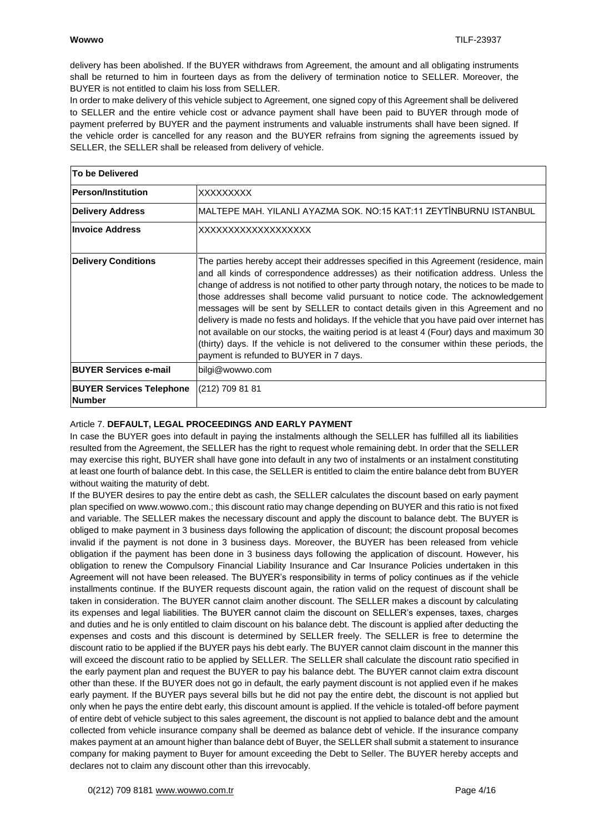delivery has been abolished. If the BUYER withdraws from Agreement, the amount and all obligating instruments shall be returned to him in fourteen days as from the delivery of termination notice to SELLER. Moreover, the BUYER is not entitled to claim his loss from SELLER.

In order to make delivery of this vehicle subject to Agreement, one signed copy of this Agreement shall be delivered to SELLER and the entire vehicle cost or advance payment shall have been paid to BUYER through mode of payment preferred by BUYER and the payment instruments and valuable instruments shall have been signed. If the vehicle order is cancelled for any reason and the BUYER refrains from signing the agreements issued by SELLER, the SELLER shall be released from delivery of vehicle.

| To be Delivered                                  |                                                                                                                                                                                                                                                                                                                                                                                                                                                                                                                                                                                                                                                                                                                                                                                        |
|--------------------------------------------------|----------------------------------------------------------------------------------------------------------------------------------------------------------------------------------------------------------------------------------------------------------------------------------------------------------------------------------------------------------------------------------------------------------------------------------------------------------------------------------------------------------------------------------------------------------------------------------------------------------------------------------------------------------------------------------------------------------------------------------------------------------------------------------------|
| <b>Person/Institution</b>                        | XXXXXXXXX                                                                                                                                                                                                                                                                                                                                                                                                                                                                                                                                                                                                                                                                                                                                                                              |
| <b>Delivery Address</b>                          | IMALTEPE MAH. YILANLI AYAZMA SOK. NO:15 KAT:11 ZEYTİNBURNU ISTANBUL                                                                                                                                                                                                                                                                                                                                                                                                                                                                                                                                                                                                                                                                                                                    |
| <b>Invoice Address</b>                           | XXXXXXXXXXXXXXXXXXX                                                                                                                                                                                                                                                                                                                                                                                                                                                                                                                                                                                                                                                                                                                                                                    |
| <b>Delivery Conditions</b>                       | The parties hereby accept their addresses specified in this Agreement (residence, main<br>and all kinds of correspondence addresses) as their notification address. Unless the<br>change of address is not notified to other party through notary, the notices to be made to<br>those addresses shall become valid pursuant to notice code. The acknowledgement<br>messages will be sent by SELLER to contact details given in this Agreement and no<br>delivery is made no fests and holidays. If the vehicle that you have paid over internet has<br>not available on our stocks, the waiting period is at least 4 (Four) days and maximum 30<br>(thirty) days. If the vehicle is not delivered to the consumer within these periods, the<br>payment is refunded to BUYER in 7 days. |
| <b>BUYER Services e-mail</b>                     | bilgi@wowwo.com                                                                                                                                                                                                                                                                                                                                                                                                                                                                                                                                                                                                                                                                                                                                                                        |
| <b>BUYER Services Telephone</b><br><b>Number</b> | (212) 709 81 81                                                                                                                                                                                                                                                                                                                                                                                                                                                                                                                                                                                                                                                                                                                                                                        |

## Article 7. **DEFAULT, LEGAL PROCEEDINGS AND EARLY PAYMENT**

In case the BUYER goes into default in paying the instalments although the SELLER has fulfilled all its liabilities resulted from the Agreement, the SELLER has the right to request whole remaining debt. In order that the SELLER may exercise this right, BUYER shall have gone into default in any two of instalments or an instalment constituting at least one fourth of balance debt. In this case, the SELLER is entitled to claim the entire balance debt from BUYER without waiting the maturity of debt.

If the BUYER desires to pay the entire debt as cash, the SELLER calculates the discount based on early payment plan specified o[n www.wowwo.com.](http://www.wowwo.com/); this discount ratio may change depending on BUYER and this ratio is not fixed and variable. The SELLER makes the necessary discount and apply the discount to balance debt. The BUYER is obliged to make payment in 3 business days following the application of discount; the discount proposal becomes invalid if the payment is not done in 3 business days. Moreover, the BUYER has been released from vehicle obligation if the payment has been done in 3 business days following the application of discount. However, his obligation to renew the Compulsory Financial Liability Insurance and Car Insurance Policies undertaken in this Agreement will not have been released. The BUYER's responsibility in terms of policy continues as if the vehicle installments continue. If the BUYER requests discount again, the ration valid on the request of discount shall be taken in consideration. The BUYER cannot claim another discount. The SELLER makes a discount by calculating its expenses and legal liabilities. The BUYER cannot claim the discount on SELLER's expenses, taxes, charges and duties and he is only entitled to claim discount on his balance debt. The discount is applied after deducting the expenses and costs and this discount is determined by SELLER freely. The SELLER is free to determine the discount ratio to be applied if the BUYER pays his debt early. The BUYER cannot claim discount in the manner this will exceed the discount ratio to be applied by SELLER. The SELLER shall calculate the discount ratio specified in the early payment plan and request the BUYER to pay his balance debt. The BUYER cannot claim extra discount other than these. If the BUYER does not go in default, the early payment discount is not applied even if he makes early payment. If the BUYER pays several bills but he did not pay the entire debt, the discount is not applied but only when he pays the entire debt early, this discount amount is applied. If the vehicle is totaled-off before payment of entire debt of vehicle subject to this sales agreement, the discount is not applied to balance debt and the amount collected from vehicle insurance company shall be deemed as balance debt of vehicle. If the insurance company makes payment at an amount higher than balance debt of Buyer, the SELLER shall submit a statement to insurance company for making payment to Buyer for amount exceeding the Debt to Seller. The BUYER hereby accepts and declares not to claim any discount other than this irrevocably.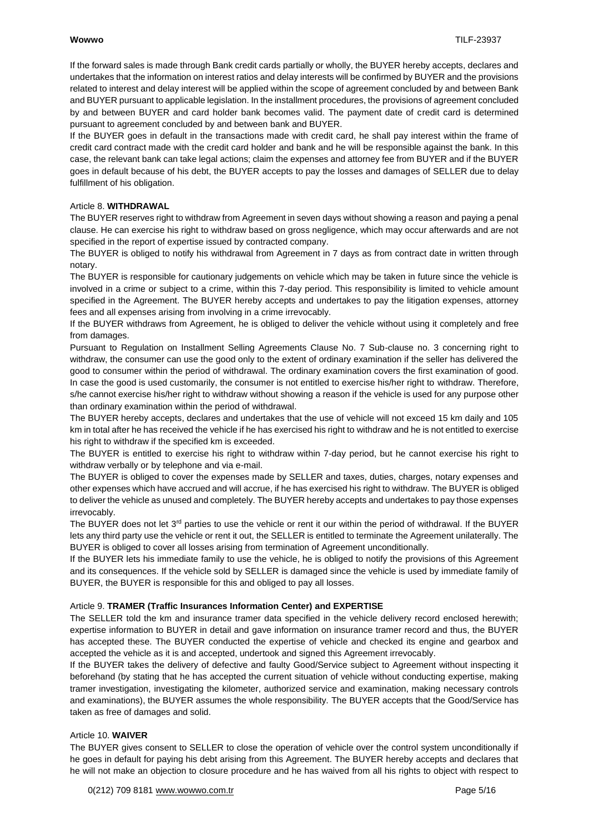If the forward sales is made through Bank credit cards partially or wholly, the BUYER hereby accepts, declares and undertakes that the information on interest ratios and delay interests will be confirmed by BUYER and the provisions related to interest and delay interest will be applied within the scope of agreement concluded by and between Bank and BUYER pursuant to applicable legislation. In the installment procedures, the provisions of agreement concluded by and between BUYER and card holder bank becomes valid. The payment date of credit card is determined pursuant to agreement concluded by and between bank and BUYER.

If the BUYER goes in default in the transactions made with credit card, he shall pay interest within the frame of credit card contract made with the credit card holder and bank and he will be responsible against the bank. In this case, the relevant bank can take legal actions; claim the expenses and attorney fee from BUYER and if the BUYER goes in default because of his debt, the BUYER accepts to pay the losses and damages of SELLER due to delay fulfillment of his obligation.

#### Article 8. **WITHDRAWAL**

The BUYER reserves right to withdraw from Agreement in seven days without showing a reason and paying a penal clause. He can exercise his right to withdraw based on gross negligence, which may occur afterwards and are not specified in the report of expertise issued by contracted company.

The BUYER is obliged to notify his withdrawal from Agreement in 7 days as from contract date in written through notary.

The BUYER is responsible for cautionary judgements on vehicle which may be taken in future since the vehicle is involved in a crime or subject to a crime, within this 7-day period. This responsibility is limited to vehicle amount specified in the Agreement. The BUYER hereby accepts and undertakes to pay the litigation expenses, attorney fees and all expenses arising from involving in a crime irrevocably.

If the BUYER withdraws from Agreement, he is obliged to deliver the vehicle without using it completely and free from damages.

Pursuant to Regulation on Installment Selling Agreements Clause No. 7 Sub-clause no. 3 concerning right to withdraw, the consumer can use the good only to the extent of ordinary examination if the seller has delivered the good to consumer within the period of withdrawal. The ordinary examination covers the first examination of good. In case the good is used customarily, the consumer is not entitled to exercise his/her right to withdraw. Therefore, s/he cannot exercise his/her right to withdraw without showing a reason if the vehicle is used for any purpose other than ordinary examination within the period of withdrawal.

The BUYER hereby accepts, declares and undertakes that the use of vehicle will not exceed 15 km daily and 105 km in total after he has received the vehicle if he has exercised his right to withdraw and he is not entitled to exercise his right to withdraw if the specified km is exceeded.

The BUYER is entitled to exercise his right to withdraw within 7-day period, but he cannot exercise his right to withdraw verbally or by telephone and via e-mail.

The BUYER is obliged to cover the expenses made by SELLER and taxes, duties, charges, notary expenses and other expenses which have accrued and will accrue, if he has exercised his right to withdraw. The BUYER is obliged to deliver the vehicle as unused and completely. The BUYER hereby accepts and undertakes to pay those expenses irrevocably.

The BUYER does not let  $3^{rd}$  parties to use the vehicle or rent it our within the period of withdrawal. If the BUYER lets any third party use the vehicle or rent it out, the SELLER is entitled to terminate the Agreement unilaterally. The BUYER is obliged to cover all losses arising from termination of Agreement unconditionally.

If the BUYER lets his immediate family to use the vehicle, he is obliged to notify the provisions of this Agreement and its consequences. If the vehicle sold by SELLER is damaged since the vehicle is used by immediate family of BUYER, the BUYER is responsible for this and obliged to pay all losses.

#### Article 9. **TRAMER (Traffic Insurances Information Center) and EXPERTISE**

The SELLER told the km and insurance tramer data specified in the vehicle delivery record enclosed herewith; expertise information to BUYER in detail and gave information on insurance tramer record and thus, the BUYER has accepted these. The BUYER conducted the expertise of vehicle and checked its engine and gearbox and accepted the vehicle as it is and accepted, undertook and signed this Agreement irrevocably.

If the BUYER takes the delivery of defective and faulty Good/Service subject to Agreement without inspecting it beforehand (by stating that he has accepted the current situation of vehicle without conducting expertise, making tramer investigation, investigating the kilometer, authorized service and examination, making necessary controls and examinations), the BUYER assumes the whole responsibility. The BUYER accepts that the Good/Service has taken as free of damages and solid.

## Article 10. **WAIVER**

The BUYER gives consent to SELLER to close the operation of vehicle over the control system unconditionally if he goes in default for paying his debt arising from this Agreement. The BUYER hereby accepts and declares that he will not make an objection to closure procedure and he has waived from all his rights to object with respect to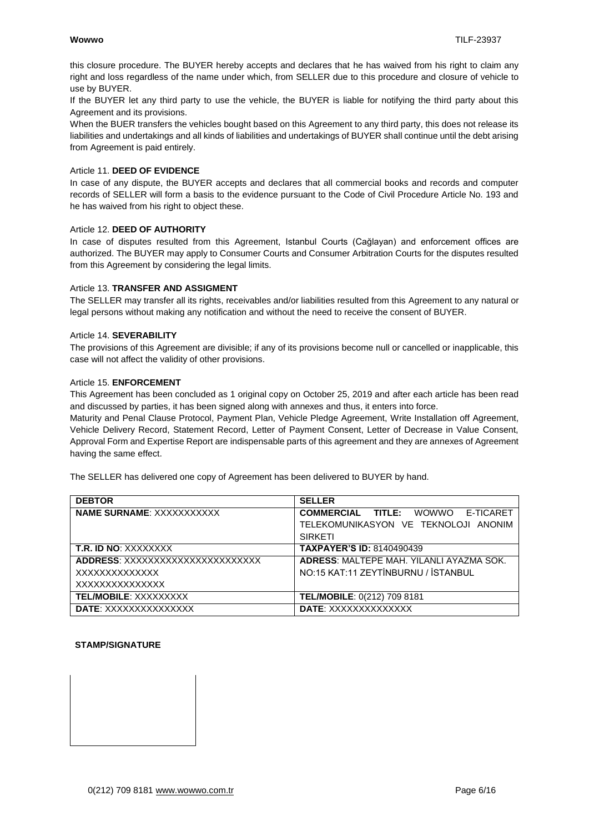this closure procedure. The BUYER hereby accepts and declares that he has waived from his right to claim any right and loss regardless of the name under which, from SELLER due to this procedure and closure of vehicle to use by BUYER.

If the BUYER let any third party to use the vehicle, the BUYER is liable for notifying the third party about this Agreement and its provisions.

When the BUER transfers the vehicles bought based on this Agreement to any third party, this does not release its liabilities and undertakings and all kinds of liabilities and undertakings of BUYER shall continue until the debt arising from Agreement is paid entirely.

#### Article 11. **DEED OF EVIDENCE**

In case of any dispute, the BUYER accepts and declares that all commercial books and records and computer records of SELLER will form a basis to the evidence pursuant to the Code of Civil Procedure Article No. 193 and he has waived from his right to object these.

#### Article 12. **DEED OF AUTHORITY**

In case of disputes resulted from this Agreement, Istanbul Courts (Cağlayan) and enforcement offices are authorized. The BUYER may apply to Consumer Courts and Consumer Arbitration Courts for the disputes resulted from this Agreement by considering the legal limits.

#### Article 13. **TRANSFER AND ASSIGMENT**

The SELLER may transfer all its rights, receivables and/or liabilities resulted from this Agreement to any natural or legal persons without making any notification and without the need to receive the consent of BUYER.

#### Article 14. **SEVERABILITY**

The provisions of this Agreement are divisible; if any of its provisions become null or cancelled or inapplicable, this case will not affect the validity of other provisions.

#### Article 15. **ENFORCEMENT**

This Agreement has been concluded as 1 original copy on October 25, 2019 and after each article has been read and discussed by parties, it has been signed along with annexes and thus, it enters into force.

Maturity and Penal Clause Protocol, Payment Plan, Vehicle Pledge Agreement, Write Installation off Agreement, Vehicle Delivery Record, Statement Record, Letter of Payment Consent, Letter of Decrease in Value Consent, Approval Form and Expertise Report are indispensable parts of this agreement and they are annexes of Agreement having the same effect.

The SELLER has delivered one copy of Agreement has been delivered to BUYER by hand.

| <b>DEBTOR</b>                    | <b>SELLER</b>                                   |
|----------------------------------|-------------------------------------------------|
| <b>NAME SURNAME: XXXXXXXXXXX</b> | <b>COMMERCIAL TITLE:</b> WOWWO E-TICARET        |
|                                  | TELEKOMUNIKASYON VE TEKNOLOJI ANONIM            |
|                                  | <b>SIRKETI</b>                                  |
| <b>T.R. ID NO: XXXXXXXX</b>      | <b>TAXPAYER'S ID: 8140490439</b>                |
| ADDRESS: XXXXXXXXXXXXXXXXXXXXXXX | <b>ADRESS: MALTEPE MAH, YILANLI AYAZMA SOK.</b> |
| XXXXXXXXXXXXX                    | NO:15 KAT:11 ZEYTİNBURNU / İSTANBUL             |
| XXXXXXXXXXXXXX                   |                                                 |
| <b>TEL/MOBILE: XXXXXXXXX</b>     | TEL/MOBILE: 0(212) 709 8181                     |
| <b>DATE:</b> XXXXXXXXXXXXXX      | <b>DATE: XXXXXXXXXXXXXX</b>                     |

#### **STAMP/SIGNATURE**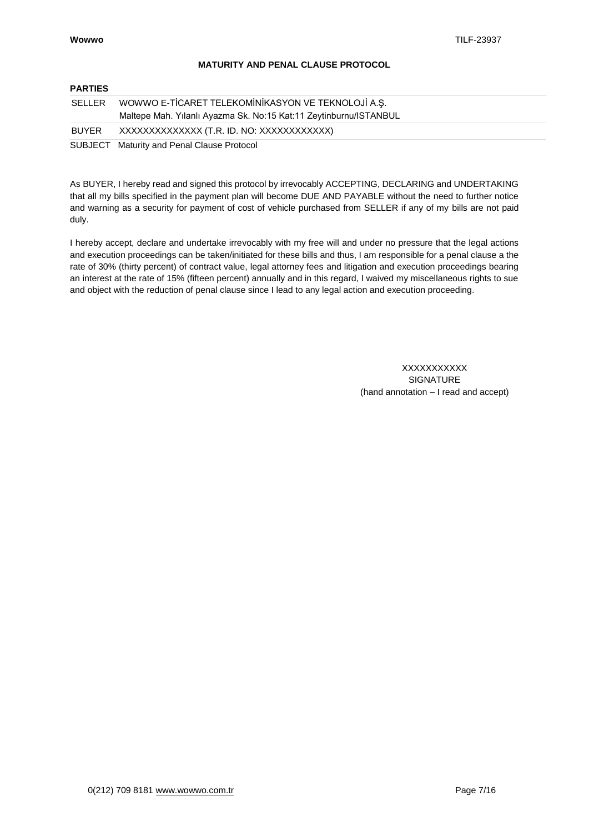## **MATURITY AND PENAL CLAUSE PROTOCOL**

## **PARTIES**

| SELLER | WOWWO E-TİCARET TELEKOMİNİKASYON VE TEKNOLOJİ A.Ş.<br>Maltepe Mah. Yılanlı Ayazma Sk. No:15 Kat:11 Zeytinburnu/ISTANBUL |
|--------|-------------------------------------------------------------------------------------------------------------------------|
| BUYER  | XXXXXXXXXXXXXX (T.R. ID. NO: XXXXXXXXXXX)                                                                               |
|        | SUBJECT Maturity and Penal Clause Protocol                                                                              |

As BUYER, I hereby read and signed this protocol by irrevocably ACCEPTING, DECLARING and UNDERTAKING that all my bills specified in the payment plan will become DUE AND PAYABLE without the need to further notice and warning as a security for payment of cost of vehicle purchased from SELLER if any of my bills are not paid duly.

I hereby accept, declare and undertake irrevocably with my free will and under no pressure that the legal actions and execution proceedings can be taken/initiated for these bills and thus, I am responsible for a penal clause a the rate of 30% (thirty percent) of contract value, legal attorney fees and litigation and execution proceedings bearing an interest at the rate of 15% (fifteen percent) annually and in this regard, I waived my miscellaneous rights to sue and object with the reduction of penal clause since I lead to any legal action and execution proceeding.

> **XXXXXXXXXX** SIGNATURE (hand annotation – I read and accept)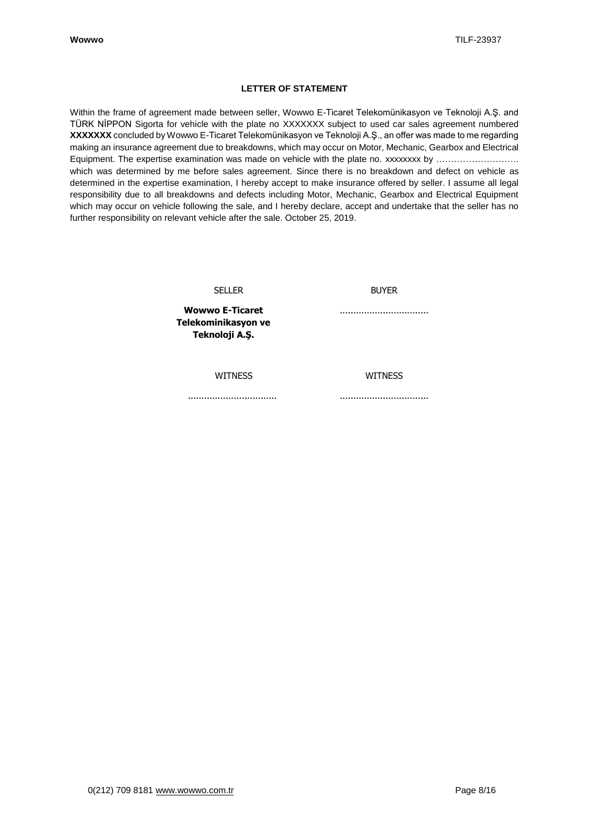## **LETTER OF STATEMENT**

Within the frame of agreement made between seller, Wowwo E-Ticaret Telekomünikasyon ve Teknoloji A.Ş. and TÜRK NİPPON Sigorta for vehicle with the plate no XXXXXXX subject to used car sales agreement numbered **XXXXXXX** concluded by Wowwo E-Ticaret Telekomünikasyon ve Teknoloji A.Ş., an offer was made to me regarding making an insurance agreement due to breakdowns, which may occur on Motor, Mechanic, Gearbox and Electrical Equipment. The expertise examination was made on vehicle with the plate no. xxxxxxxx by ……………………… which was determined by me before sales agreement. Since there is no breakdown and defect on vehicle as determined in the expertise examination, I hereby accept to make insurance offered by seller. I assume all legal responsibility due to all breakdowns and defects including Motor, Mechanic, Gearbox and Electrical Equipment which may occur on vehicle following the sale, and I hereby declare, accept and undertake that the seller has no further responsibility on relevant vehicle after the sale. October 25, 2019.

SELLER

BUYER

.................................

**Wowwo E-Ticaret Telekominikasyon ve Teknoloji A.Ş.**

WITNESS

WITNESS

.................................

.................................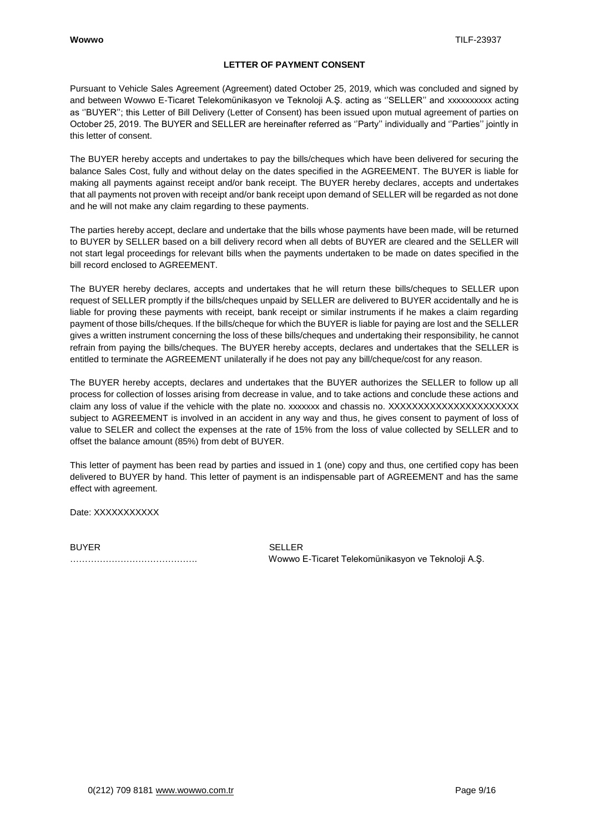## **LETTER OF PAYMENT CONSENT**

Pursuant to Vehicle Sales Agreement (Agreement) dated October 25, 2019, which was concluded and signed by and between Wowwo E-Ticaret Telekomünikasyon ve Teknoloji A.Ş. acting as ''SELLER'' and xxxxxxxxxx acting as ''BUYER''; this Letter of Bill Delivery (Letter of Consent) has been issued upon mutual agreement of parties on October 25, 2019. The BUYER and SELLER are hereinafter referred as ''Party'' individually and ''Parties'' jointly in this letter of consent.

The BUYER hereby accepts and undertakes to pay the bills/cheques which have been delivered for securing the balance Sales Cost, fully and without delay on the dates specified in the AGREEMENT. The BUYER is liable for making all payments against receipt and/or bank receipt. The BUYER hereby declares, accepts and undertakes that all payments not proven with receipt and/or bank receipt upon demand of SELLER will be regarded as not done and he will not make any claim regarding to these payments.

The parties hereby accept, declare and undertake that the bills whose payments have been made, will be returned to BUYER by SELLER based on a bill delivery record when all debts of BUYER are cleared and the SELLER will not start legal proceedings for relevant bills when the payments undertaken to be made on dates specified in the bill record enclosed to AGREEMENT.

The BUYER hereby declares, accepts and undertakes that he will return these bills/cheques to SELLER upon request of SELLER promptly if the bills/cheques unpaid by SELLER are delivered to BUYER accidentally and he is liable for proving these payments with receipt, bank receipt or similar instruments if he makes a claim regarding payment of those bills/cheques. If the bills/cheque for which the BUYER is liable for paying are lost and the SELLER gives a written instrument concerning the loss of these bills/cheques and undertaking their responsibility, he cannot refrain from paying the bills/cheques. The BUYER hereby accepts, declares and undertakes that the SELLER is entitled to terminate the AGREEMENT unilaterally if he does not pay any bill/cheque/cost for any reason.

The BUYER hereby accepts, declares and undertakes that the BUYER authorizes the SELLER to follow up all process for collection of losses arising from decrease in value, and to take actions and conclude these actions and claim any loss of value if the vehicle with the plate no. xxxxxxx and chassis no. XXXXXXXXXXXXXXXXXXXXXX subject to AGREEMENT is involved in an accident in any way and thus, he gives consent to payment of loss of value to SELER and collect the expenses at the rate of 15% from the loss of value collected by SELLER and to offset the balance amount (85%) from debt of BUYER.

This letter of payment has been read by parties and issued in 1 (one) copy and thus, one certified copy has been delivered to BUYER by hand. This letter of payment is an indispensable part of AGREEMENT and has the same effect with agreement.

Date: XXXXXXXXXX

BUYER SELLER

……………………………………. Wowwo E-Ticaret Telekomünikasyon ve Teknoloji A.Ş.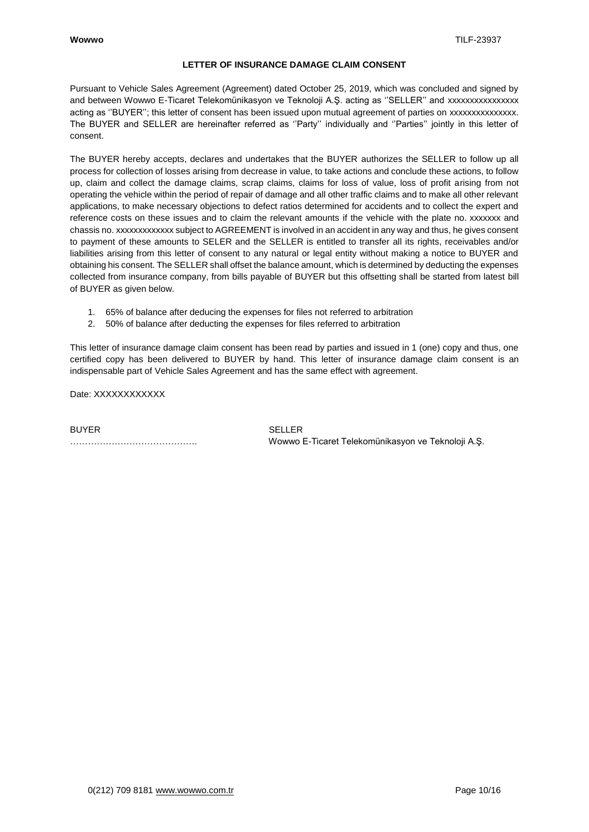## **LETTER OF INSURANCE DAMAGE CLAIM CONSENT**

Pursuant to Vehicle Sales Agreement (Agreement) dated October 25, 2019, which was concluded and signed by and between Wowwo E-Ticaret Telekomünikasyon ve Teknoloji A.Ş. acting as "SELLER" and xxxxxxxxxxxxxxx acting as ''BUYER''; this letter of consent has been issued upon mutual agreement of parties on xxxxxxxxxxxxxxx. The BUYER and SELLER are hereinafter referred as ''Party'' individually and ''Parties'' jointly in this letter of consent.

The BUYER hereby accepts, declares and undertakes that the BUYER authorizes the SELLER to follow up all process for collection of losses arising from decrease in value, to take actions and conclude these actions, to follow up, claim and collect the damage claims, scrap claims, claims for loss of value, loss of profit arising from not operating the vehicle within the period of repair of damage and all other traffic claims and to make all other relevant applications, to make necessary objections to defect ratios determined for accidents and to collect the expert and reference costs on these issues and to claim the relevant amounts if the vehicle with the plate no. xxxxxxx and chassis no. xxxxxxxxxxxxx subject to AGREEMENT is involved in an accident in any way and thus, he gives consent to payment of these amounts to SELER and the SELLER is entitled to transfer all its rights, receivables and/or liabilities arising from this letter of consent to any natural or legal entity without making a notice to BUYER and obtaining his consent. The SELLER shall offset the balance amount, which is determined by deducting the expenses collected from insurance company, from bills payable of BUYER but this offsetting shall be started from latest bill of BUYER as given below.

- 1. 65% of balance after deducing the expenses for files not referred to arbitration
- 2. 50% of balance after deducting the expenses for files referred to arbitration

This letter of insurance damage claim consent has been read by parties and issued in 1 (one) copy and thus, one certified copy has been delivered to BUYER by hand. This letter of insurance damage claim consent is an indispensable part of Vehicle Sales Agreement and has the same effect with agreement.

Date: XXXXXXXXXXX

BUYER SELLER

……………………………………. Wowwo E-Ticaret Telekomünikasyon ve Teknoloji A.Ş.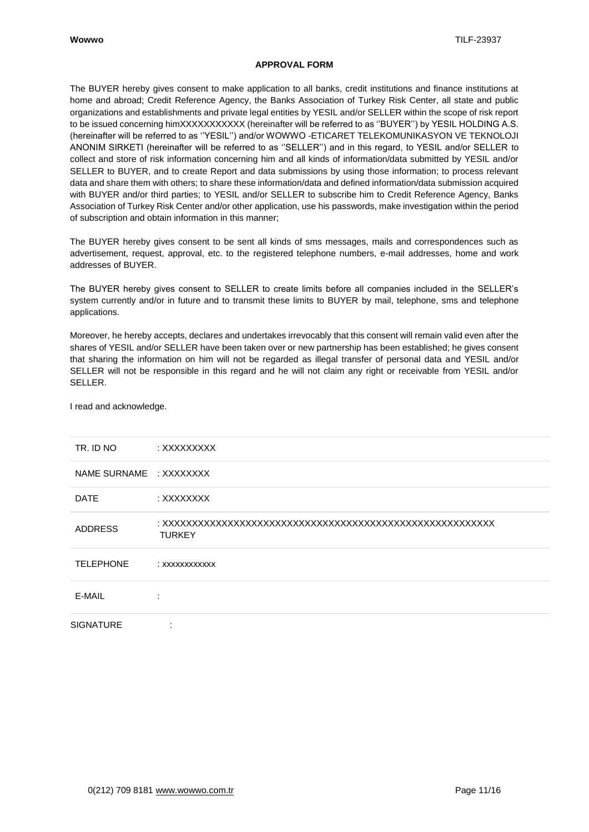## **APPROVAL FORM**

The BUYER hereby gives consent to make application to all banks, credit institutions and finance institutions at home and abroad; Credit Reference Agency, the Banks Association of Turkey Risk Center, all state and public organizations and establishments and private legal entities by YESIL and/or SELLER within the scope of risk report to be issued concerning himXXXXXXXXXXX (hereinafter will be referred to as ''BUYER'') by YESIL HOLDING A.S. (hereinafter will be referred to as ''YESIL'') and/or WOWWO -ETICARET TELEKOMUNIKASYON VE TEKNOLOJI ANONIM SIRKETI (hereinafter will be referred to as ''SELLER'') and in this regard, to YESIL and/or SELLER to collect and store of risk information concerning him and all kinds of information/data submitted by YESIL and/or SELLER to BUYER, and to create Report and data submissions by using those information; to process relevant data and share them with others; to share these information/data and defined information/data submission acquired with BUYER and/or third parties; to YESIL and/or SELLER to subscribe him to Credit Reference Agency, Banks Association of Turkey Risk Center and/or other application, use his passwords, make investigation within the period of subscription and obtain information in this manner;

The BUYER hereby gives consent to be sent all kinds of sms messages, mails and correspondences such as advertisement, request, approval, etc. to the registered telephone numbers, e-mail addresses, home and work addresses of BUYER.

The BUYER hereby gives consent to SELLER to create limits before all companies included in the SELLER's system currently and/or in future and to transmit these limits to BUYER by mail, telephone, sms and telephone applications.

Moreover, he hereby accepts, declares and undertakes irrevocably that this consent will remain valid even after the shares of YESIL and/or SELLER have been taken over or new partnership has been established; he gives consent that sharing the information on him will not be regarded as illegal transfer of personal data and YESIL and/or SELLER will not be responsible in this regard and he will not claim any right or receivable from YESIL and/or SELLER.

| TR. ID NO               | : XXXXXXXXX    |
|-------------------------|----------------|
| NAME SURNAME : XXXXXXXX |                |
| <b>DATE</b>             | : XXXXXXXX     |
| <b>ADDRESS</b>          | <b>TURKEY</b>  |
| <b>TELEPHONE</b>        | : XXXXXXXXXXXX |
| E-MAIL                  |                |
| <b>SIGNATURE</b>        | ٠              |

I read and acknowledge.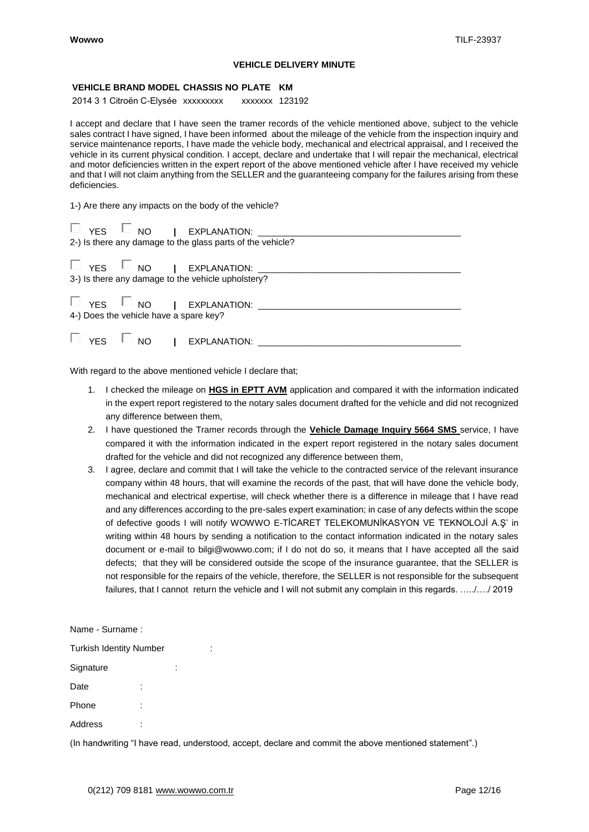#### **VEHICLE DELIVERY MINUTE**

#### **VEHICLE BRAND MODEL CHASSIS NO PLATE KM**

2014 3 1 Citroën C-Elysée xxxxxxxxx xxxxxxx 123192

I accept and declare that I have seen the tramer records of the vehicle mentioned above, subject to the vehicle sales contract I have signed, I have been informed about the mileage of the vehicle from the inspection inquiry and service maintenance reports, I have made the vehicle body, mechanical and electrical appraisal, and I received the vehicle in its current physical condition. I accept, declare and undertake that I will repair the mechanical, electrical and motor deficiencies written in the expert report of the above mentioned vehicle after I have received my vehicle and that I will not claim anything from the SELLER and the guaranteeing company for the failures arising from these deficiencies.

1-) Are there any impacts on the body of the vehicle?

| 2-) Is there any damage to the glass parts of the vehicle? |
|------------------------------------------------------------|
| 3-) Is there any damage to the vehicle upholstery?         |
| 4-) Does the vehicle have a spare key?                     |
| $\Box$ YES $\Box$ NO   EXPLANATION: _______                |

With regard to the above mentioned vehicle I declare that;

- 1. I checked the mileage on **HGS in EPTT AVM** application and compared it with the information indicated in the expert report registered to the notary sales document drafted for the vehicle and did not recognized any difference between them,
- 2. I have questioned the Tramer records through the **Vehicle Damage Inquiry 5664 SMS** service, I have compared it with the information indicated in the expert report registered in the notary sales document drafted for the vehicle and did not recognized any difference between them,
- 3. I agree, declare and commit that I will take the vehicle to the contracted service of the relevant insurance company within 48 hours, that will examine the records of the past, that will have done the vehicle body, mechanical and electrical expertise, will check whether there is a difference in mileage that I have read and any differences according to the pre-sales expert examination; in case of any defects within the scope of defective goods I will notify WOWWO E-TİCARET TELEKOMUNİKASYON VE TEKNOLOJİ A.Ş' in writing within 48 hours by sending a notification to the contact information indicated in the notary sales document or e-mail to bilgi@wowwo.com; if I do not do so, it means that I have accepted all the said defects; that they will be considered outside the scope of the insurance guarantee, that the SELLER is not responsible for the repairs of the vehicle, therefore, the SELLER is not responsible for the subsequent failures, that I cannot return the vehicle and I will not submit any complain in this regards. …../…./ 2019

|  | Name - Surname : |  |
|--|------------------|--|
|--|------------------|--|

| <b>Turkish Identity Number</b> |  |  |
|--------------------------------|--|--|
| Signature                      |  |  |
| Date                           |  |  |
| Phone                          |  |  |
| Address                        |  |  |

(In handwriting "I have read, understood, accept, declare and commit the above mentioned statement".)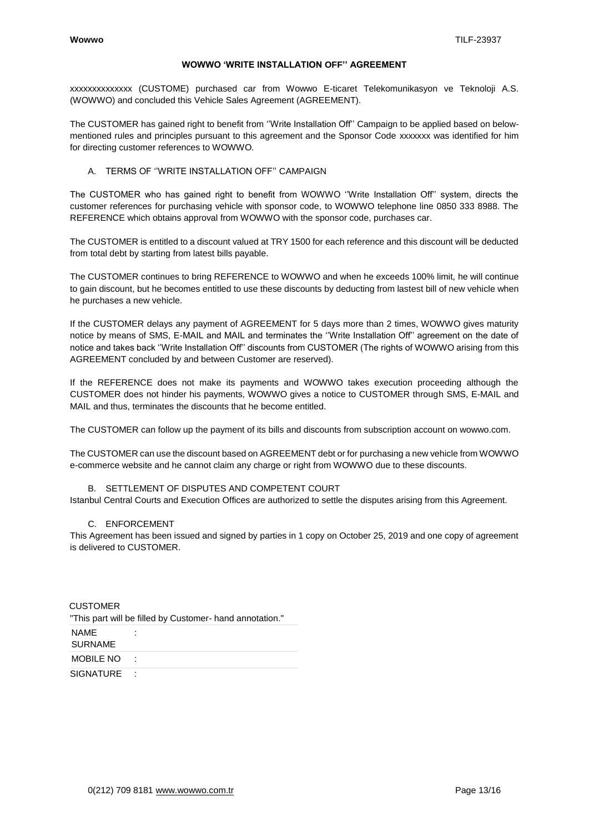#### **WOWWO 'WRITE INSTALLATION OFF'' AGREEMENT**

xxxxxxxxxxxxxx (CUSTOME) purchased car from Wowwo E-ticaret Telekomunikasyon ve Teknoloji A.S. (WOWWO) and concluded this Vehicle Sales Agreement (AGREEMENT).

The CUSTOMER has gained right to benefit from ''Write Installation Off'' Campaign to be applied based on belowmentioned rules and principles pursuant to this agreement and the Sponsor Code xxxxxxx was identified for him for directing customer references to WOWWO.

#### A. TERMS OF ''WRITE INSTALLATION OFF'' CAMPAIGN

The CUSTOMER who has gained right to benefit from WOWWO ''Write Installation Off'' system, directs the customer references for purchasing vehicle with sponsor code, to WOWWO telephone line 0850 333 8988. The REFERENCE which obtains approval from WOWWO with the sponsor code, purchases car.

The CUSTOMER is entitled to a discount valued at TRY 1500 for each reference and this discount will be deducted from total debt by starting from latest bills payable.

The CUSTOMER continues to bring REFERENCE to WOWWO and when he exceeds 100% limit, he will continue to gain discount, but he becomes entitled to use these discounts by deducting from lastest bill of new vehicle when he purchases a new vehicle.

If the CUSTOMER delays any payment of AGREEMENT for 5 days more than 2 times, WOWWO gives maturity notice by means of SMS, E-MAIL and MAIL and terminates the ''Write Installation Off'' agreement on the date of notice and takes back ''Write Installation Off'' discounts from CUSTOMER (The rights of WOWWO arising from this AGREEMENT concluded by and between Customer are reserved).

If the REFERENCE does not make its payments and WOWWO takes execution proceeding although the CUSTOMER does not hinder his payments, WOWWO gives a notice to CUSTOMER through SMS, E-MAIL and MAIL and thus, terminates the discounts that he become entitled.

The CUSTOMER can follow up the payment of its bills and discounts from subscription account on wowwo.com.

The CUSTOMER can use the discount based on AGREEMENT debt or for purchasing a new vehicle from WOWWO e-commerce website and he cannot claim any charge or right from WOWWO due to these discounts.

## B. SETTLEMENT OF DISPUTES AND COMPETENT COURT

Istanbul Central Courts and Execution Offices are authorized to settle the disputes arising from this Agreement.

## C. ENFORCEMENT

This Agreement has been issued and signed by parties in 1 copy on October 25, 2019 and one copy of agreement is delivered to CUSTOMER.

| CUSTOMER                      | "This part will be filled by Customer- hand annotation." |
|-------------------------------|----------------------------------------------------------|
| <b>NAME</b><br><b>SURNAME</b> |                                                          |
| <b>MOBILE NO</b>              |                                                          |
| <b>SIGNATURE</b>              |                                                          |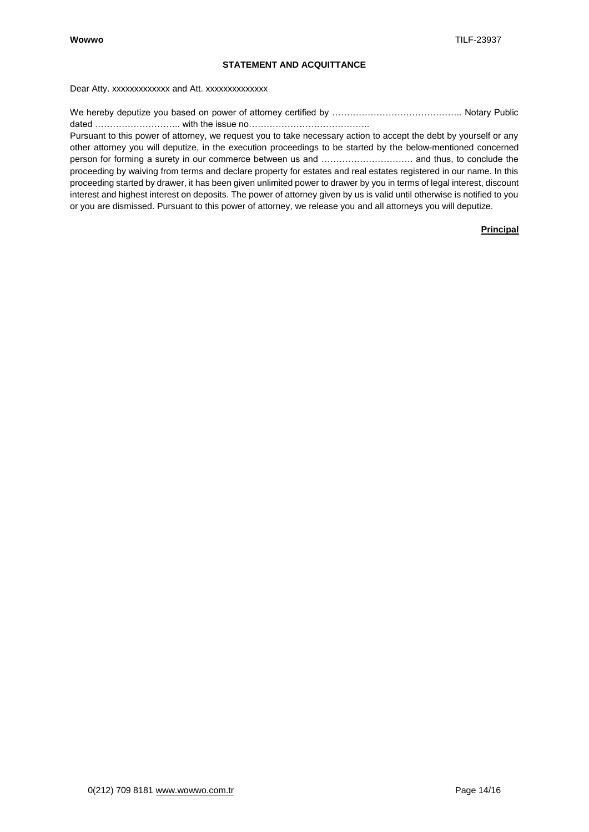# **STATEMENT AND ACQUITTANCE**

Dear Atty. xxxxxxxxxxxxxx and Att. xxxxxxxxxxxxx

We hereby deputize you based on power of attorney certified by …………………………………….. Notary Public dated ……………………….. with the issue no…………………………………..

Pursuant to this power of attorney, we request you to take necessary action to accept the debt by yourself or any other attorney you will deputize, in the execution proceedings to be started by the below-mentioned concerned person for forming a surety in our commerce between us and …………………………. and thus, to conclude the proceeding by waiving from terms and declare property for estates and real estates registered in our name. In this proceeding started by drawer, it has been given unlimited power to drawer by you in terms of legal interest, discount interest and highest interest on deposits. The power of attorney given by us is valid until otherwise is notified to you or you are dismissed. Pursuant to this power of attorney, we release you and all attorneys you will deputize.

## **Principal**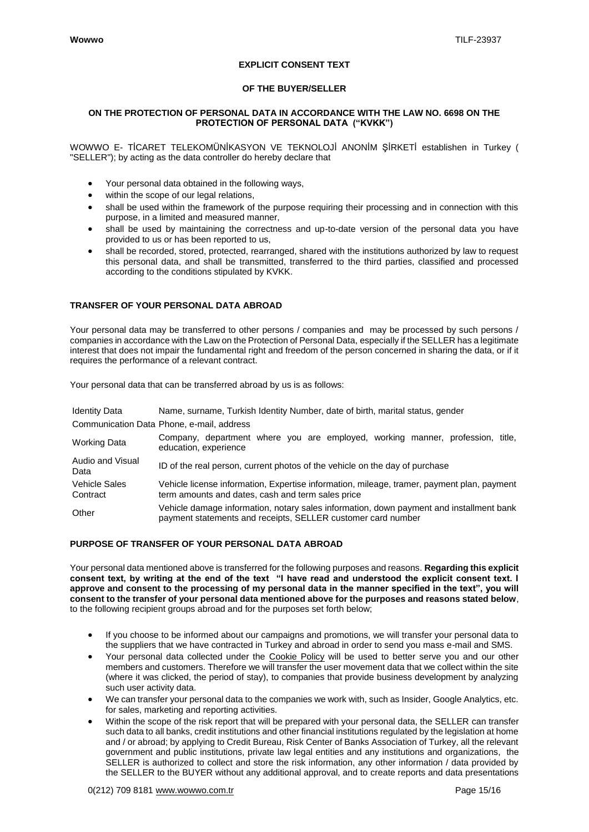## **EXPLICIT CONSENT TEXT**

## **OF THE BUYER/SELLER**

#### **ON THE PROTECTION OF PERSONAL DATA IN ACCORDANCE WITH THE LAW NO. 6698 ON THE PROTECTION OF PERSONAL DATA ("KVKK")**

WOWWO E- TİCARET TELEKOMÜNİKASYON VE TEKNOLOJİ ANONİM ŞİRKETİ establishen in Turkey ( "SELLER"); by acting as the data controller do hereby declare that

- Your personal data obtained in the following ways,
- within the scope of our legal relations,
- shall be used within the framework of the purpose requiring their processing and in connection with this purpose, in a limited and measured manner,
- shall be used by maintaining the correctness and up-to-date version of the personal data you have provided to us or has been reported to us,
- shall be recorded, stored, protected, rearranged, shared with the institutions authorized by law to request this personal data, and shall be transmitted, transferred to the third parties, classified and processed according to the conditions stipulated by KVKK.

## **TRANSFER OF YOUR PERSONAL DATA ABROAD**

Your personal data may be transferred to other persons / companies and may be processed by such persons / companies in accordance with the Law on the Protection of Personal Data, especially if the SELLER has a legitimate interest that does not impair the fundamental right and freedom of the person concerned in sharing the data, or if it requires the performance of a relevant contract.

Your personal data that can be transferred abroad by us is as follows:

| <b>Identity Data</b>      | Name, surname, Turkish Identity Number, date of birth, marital status, gender                                                                           |
|---------------------------|---------------------------------------------------------------------------------------------------------------------------------------------------------|
|                           | Communication Data Phone, e-mail, address                                                                                                               |
| <b>Working Data</b>       | Company, department where you are employed, working manner, profession, title,<br>education, experience                                                 |
| Audio and Visual<br>Data  | ID of the real person, current photos of the vehicle on the day of purchase                                                                             |
| Vehicle Sales<br>Contract | Vehicle license information, Expertise information, mileage, tramer, payment plan, payment<br>term amounts and dates, cash and term sales price         |
| Other                     | Vehicle damage information, notary sales information, down payment and installment bank<br>payment statements and receipts, SELLER customer card number |

## **PURPOSE OF TRANSFER OF YOUR PERSONAL DATA ABROAD**

Your personal data mentioned above is transferred for the following purposes and reasons. **Regarding this explicit consent text, by writing at the end of the text "I have read and understood the explicit consent text. I approve and consent to the processing of my personal data in the manner specified in the text", you will consent to the transfer of your personal data mentioned above for the purposes and reasons stated below**, to the following recipient groups abroad and for the purposes set forth below;

- If you choose to be informed about our campaigns and promotions, we will transfer your personal data to the suppliers that we have contracted in Turkey and abroad in order to send you mass e-mail and SMS.
- Your personal data collected under the Cookie Policy will be used to better serve you and our other members and customers. Therefore we will transfer the user movement data that we collect within the site (where it was clicked, the period of stay), to companies that provide business development by analyzing such user activity data.
- We can transfer your personal data to the companies we work with, such as Insider, Google Analytics, etc. for sales, marketing and reporting activities.
- Within the scope of the risk report that will be prepared with your personal data, the SELLER can transfer such data to all banks, credit institutions and other financial institutions regulated by the legislation at home and / or abroad; by applying to Credit Bureau, Risk Center of Banks Association of Turkey, all the relevant government and public institutions, private law legal entities and any institutions and organizations, the SELLER is authorized to collect and store the risk information, any other information / data provided by the SELLER to the BUYER without any additional approval, and to create reports and data presentations